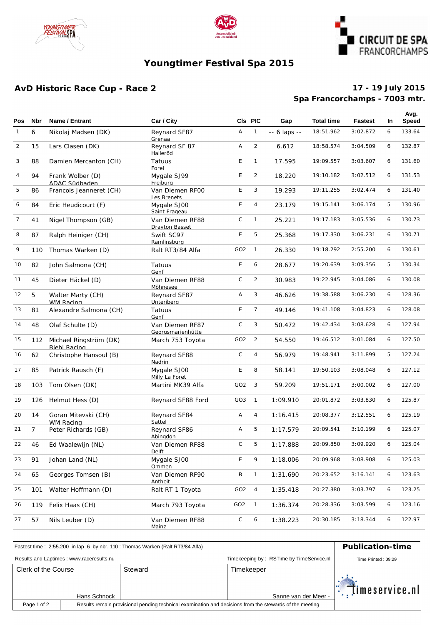





# **Youngtimer Festival Spa 2015**

## **AvD Historic Race Cup - Race 2**

### **Spa Francorchamps - 7003 mtr. 17 - 19 July 2015**

| Pos          | <b>Nbr</b>     | Name / Entrant                                | Car / City                           |                 | CIs PIC        | Gap                | <b>Total time</b> | <b>Fastest</b> | In. | Avg.<br>Speed |
|--------------|----------------|-----------------------------------------------|--------------------------------------|-----------------|----------------|--------------------|-------------------|----------------|-----|---------------|
| $\mathbf{1}$ | 6              | Nikolaj Madsen (DK)                           | Reynard SF87<br>Grenaa               | Α               | $\mathbf{1}$   | $- - 6$ laps $- -$ | 18:51.962         | 3:02.872       | 6   | 133.64        |
| 2            | 15             | Lars Clasen (DK)                              | Reynard SF 87<br>Halleröd            | Α               | $\overline{2}$ | 6.612              | 18:58.574         | 3:04.509       | 6   | 132.87        |
| 3            | 88             | Damien Mercanton (CH)                         | Tatuus<br>Forel                      | E               | $\mathbf{1}$   | 17.595             | 19:09.557         | 3:03.607       | 6   | 131.60        |
| 4            | 94             | Frank Wolber (D)<br>ADAC Südbaden             | Mygale SJ99<br>Freiburg              | E               | $\overline{2}$ | 18.220             | 19:10.182         | 3:02.512       | 6   | 131.53        |
| 5            | 86             | Francois Jeanneret (CH)                       | Van Diemen RFOO<br>Les Brenets       | E               | 3              | 19.293             | 19:11.255         | 3:02.474       | 6   | 131.40        |
| 6            | 84             | Eric Heudicourt (F)                           | Mygale SJ00<br>Saint Frageau         | E               | 4              | 23.179             | 19:15.141         | 3:06.174       | 5   | 130.96        |
| 7            | 41             | Nigel Thompson (GB)                           | Van Diemen RF88<br>Drayton Basset    | $\mathsf C$     | $\mathbf{1}$   | 25.221             | 19:17.183         | 3:05.536       | 6   | 130.73        |
| 8            | 87             | Ralph Heiniger (CH)                           | Swift SC97<br>Ramlinsburg            | E               | 5              | 25.368             | 19:17.330         | 3:06.231       | 6   | 130.71        |
| 9            | 110            | Thomas Warken (D)                             | Ralt RT3/84 Alfa                     | GO <sub>2</sub> | $\overline{1}$ | 26.330             | 19:18.292         | 2:55.200       | 6   | 130.61        |
| 10           | 82             | John Salmona (CH)                             | Tatuus<br>Genf                       | E               | 6              | 28.677             | 19:20.639         | 3:09.356       | 5   | 130.34        |
| 11           | 45             | Dieter Häckel (D)                             | Van Diemen RF88<br>Möhnesee          | $\mathsf C$     | $\overline{2}$ | 30.983             | 19:22.945         | 3:04.086       | 6   | 130.08        |
| 12           | 5              | Walter Marty (CH)<br><b>WM Racing</b>         | Reynard SF87<br>Unteriberg           | Α               | 3              | 46.626             | 19:38.588         | 3:06.230       | 6   | 128.36        |
| 13           | 81             | Alexandre Salmona (CH)                        | Tatuus<br>Genf                       | E               | $\overline{7}$ | 49.146             | 19:41.108         | 3:04.823       | 6   | 128.08        |
| 14           | 48             | Olaf Schulte (D)                              | Van Diemen RF87<br>Georgsmarienhütte | $\mathsf C$     | 3              | 50.472             | 19:42.434         | 3:08.628       | 6   | 127.94        |
| 15           | 112            | Michael Ringström (DK)<br><b>Biehl Racing</b> | March 753 Toyota                     | GO <sub>2</sub> | $\overline{2}$ | 54.550             | 19:46.512         | 3:01.084       | 6   | 127.50        |
| 16           | 62             | Christophe Hansoul (B)                        | Reynard SF88<br>Nadrin               | C               | 4              | 56.979             | 19:48.941         | 3:11.899       | 5   | 127.24        |
| 17           | 85             | Patrick Rausch (F)                            | Mygale SJ00<br>Milly La Foret        | E               | 8              | 58.141             | 19:50.103         | 3:08.048       | 6   | 127.12        |
| 18           | 103            | Tom Olsen (DK)                                | Martini MK39 Alfa                    | GO <sub>2</sub> | 3              | 59.209             | 19:51.171         | 3:00.002       | 6   | 127.00        |
| 19           | 126            | Helmut Hess (D)                               | Reynard SF88 Ford                    | GO3             | $\overline{1}$ | 1:09.910           | 20:01.872         | 3:03.830       | 6   | 125.87        |
| 20           | 14             | Goran Mitevski (CH)<br>WM Racing              | Reynard SF84<br>Sattel               | Α               | 4              | 1:16.415           | 20:08.377         | 3:12.551       | 6   | 125.19        |
| 21           | $\overline{7}$ | Peter Richards (GB)                           | Reynard SF86<br>Abingdon             | Α               | 5              | 1:17.579           | 20:09.541         | 3:10.199       | 6   | 125.07        |
| 22           | 46             | Ed Waalewijn (NL)                             | Van Diemen RF88<br>Delft             | С               | 5              | 1:17.888           | 20:09.850         | 3:09.920       | 6   | 125.04        |
| 23           | 91             | Johan Land (NL)                               | Mygale SJ00<br>Ommen                 | E               | 9              | 1:18.006           | 20:09.968         | 3:08.908       | 6   | 125.03        |
| 24           | 65             | Georges Tomsen (B)                            | Van Diemen RF90<br>Antheit           | Β               | $\mathbf{1}$   | 1:31.690           | 20:23.652         | 3:16.141       | 6   | 123.63        |
| 25           | 101            | Walter Hoffmann (D)                           | Ralt RT 1 Toyota                     | GO <sub>2</sub> | 4              | 1:35.418           | 20:27.380         | 3:03.797       | 6   | 123.25        |
| 26           | 119            | Felix Haas (CH)                               | March 793 Toyota                     | GO2             | $\mathbf{1}$   | 1:36.374           | 20:28.336         | 3:03.599       | 6   | 123.16        |
| 27           | 57             | Nils Leuber (D)                               | Van Diemen RF88<br>Mainz             | С               | 6              | 1:38.223           | 20:30.185         | 3:18.344       | 6   | 122.97        |

| Fastest time: 2:55.200 in lap 6 by nbr. 110: Thomas Warken (Ralt RT3/84 Alfa) | <b>Publication-time</b>                                                                                 |         |                      |                |  |  |
|-------------------------------------------------------------------------------|---------------------------------------------------------------------------------------------------------|---------|----------------------|----------------|--|--|
| Results and Laptimes: www.raceresults.nu                                      | Time Printed: 09:29                                                                                     |         |                      |                |  |  |
| Clerk of the Course                                                           |                                                                                                         | Steward | Timekeeper           |                |  |  |
|                                                                               |                                                                                                         |         |                      |                |  |  |
|                                                                               | Hans Schnock                                                                                            |         | Sanne van der Meer - | timeservice.nl |  |  |
| Page 1 of 2                                                                   | Results remain provisional pending technical examination and decisions from the stewards of the meeting |         |                      |                |  |  |